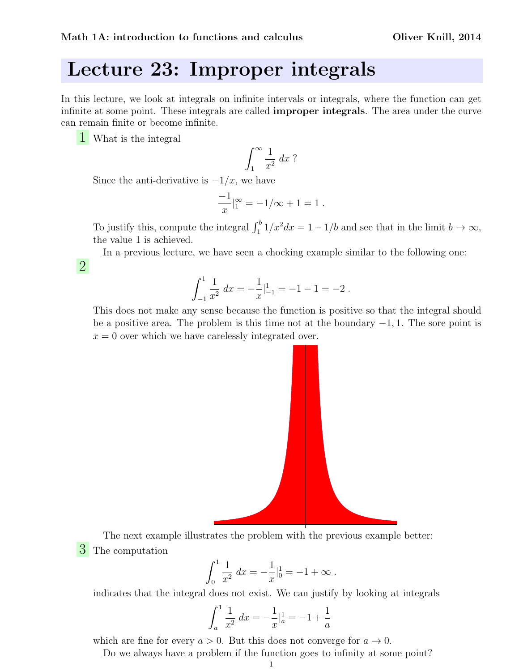## Lecture 23: Improper integrals

In this lecture, we look at integrals on infinite intervals or integrals, where the function can get infinite at some point. These integrals are called improper integrals. The area under the curve can remain finite or become infinite.

1 What is the integral

2

$$
\int_1^\infty \frac{1}{x^2} \, dx
$$
?

Since the anti-derivative is  $-1/x$ , we have

$$
\frac{-1}{x}\Big|_1^{\infty} = -1/\infty + 1 = 1.
$$

To justify this, compute the integral  $\int_1^b 1/x^2 dx = 1 - 1/b$  and see that in the limit  $b \to \infty$ , the value 1 is achieved.

In a previous lecture, we have seen a chocking example similar to the following one:

$$
\int_{-1}^{1} \frac{1}{x^2} dx = -\frac{1}{x} \Big|_{-1}^{1} = -1 - 1 = -2.
$$

This does not make any sense because the function is positive so that the integral should be a positive area. The problem is this time not at the boundary  $-1$ , 1. The sore point is  $x = 0$  over which we have carelessly integrated over.



The next example illustrates the problem with the previous example better: 3 The computation

$$
\int_0^1 \frac{1}{x^2} dx = -\frac{1}{x} \Big|_0^1 = -1 + \infty.
$$

indicates that the integral does not exist. We can justify by looking at integrals

$$
\int_{a}^{1} \frac{1}{x^2} dx = -\frac{1}{x} \Big|_{a}^{1} = -1 + \frac{1}{a}
$$

which are fine for every  $a > 0$ . But this does not converge for  $a \to 0$ .

Do we always have a problem if the function goes to infinity at some point?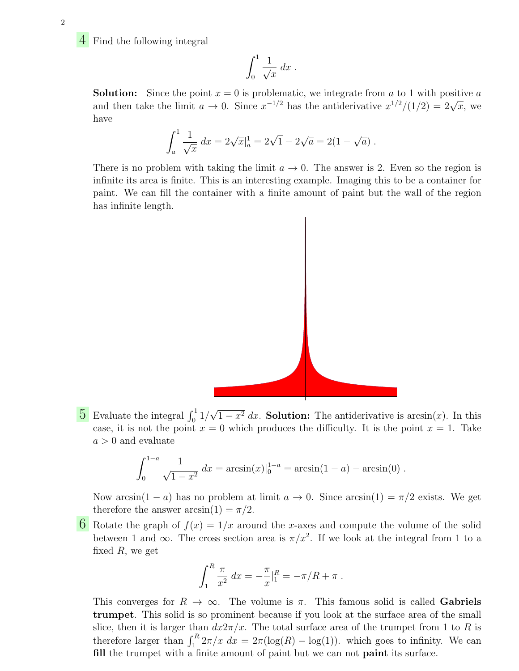4 Find the following integral

$$
\int_0^1 \frac{1}{\sqrt{x}} dx.
$$

**Solution:** Since the point  $x = 0$  is problematic, we integrate from a to 1 with positive a **SOLUTION:** Since the point  $x = 0$  is problematic, we integrate from a to 1 with positive a and then take the limit  $a \to 0$ . Since  $x^{-1/2}$  has the antiderivative  $x^{1/2}/(1/2) = 2\sqrt{x}$ , we have

$$
\int_a^1 \frac{1}{\sqrt{x}} dx = 2\sqrt{x}\big|_a^1 = 2\sqrt{1} - 2\sqrt{a} = 2(1 - \sqrt{a}).
$$

There is no problem with taking the limit  $a \to 0$ . The answer is 2. Even so the region is infinite its area is finite. This is an interesting example. Imaging this to be a container for paint. We can fill the container with a finite amount of paint but the wall of the region has infinite length.



 $5$  Evaluate the integral  $\int_0^1 1/\sqrt{2}$  $1 - x^2 dx$ . Solution: The antiderivative is  $arcsin(x)$ . In this case, it is not the point  $x = 0$  which produces the difficulty. It is the point  $x = 1$ . Take  $a > 0$  and evaluate

$$
\int_0^{1-a} \frac{1}{\sqrt{1-x^2}} dx = \arcsin(x)|_0^{1-a} = \arcsin(1-a) - \arcsin(0).
$$

Now arcsin(1 − a) has no problem at limit  $a \to 0$ . Since  $arcsin(1) = \pi/2$  exists. We get therefore the answer  $arcsin(1) = \pi/2$ .

6 Rotate the graph of  $f(x) = 1/x$  around the x-axes and compute the volume of the solid between 1 and  $\infty$ . The cross section area is  $\pi/x^2$ . If we look at the integral from 1 to a fixed  $R$ , we get

$$
\int_1^R \frac{\pi}{x^2} dx = -\frac{\pi}{x} \Big|_1^R = -\pi/R + \pi.
$$

This converges for  $R \to \infty$ . The volume is  $\pi$ . This famous solid is called Gabriels trumpet. This solid is so prominent because if you look at the surface area of the small slice, then it is larger than  $dx2\pi/x$ . The total surface area of the trumpet from 1 to R is therefore larger than  $\int_1^R 2\pi/x \, dx = 2\pi(\log(R) - \log(1))$ . which goes to infinity. We can fill the trumpet with a finite amount of paint but we can not **paint** its surface.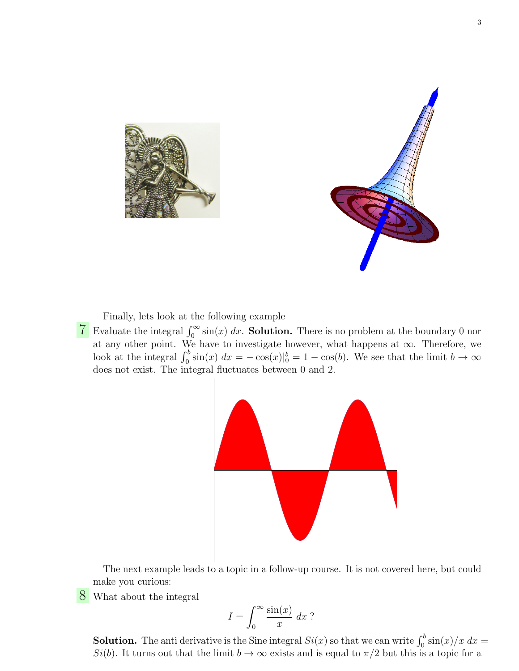



Finally, lets look at the following example

**7** Evaluate the integral  $\int_0^\infty \sin(x) dx$ . **Solution.** There is no problem at the boundary 0 nor at any other point. We have to investigate however, what happens at  $\infty$ . Therefore, we look at the integral  $\int_0^b \sin(x) dx = -\cos(x)|_0^b = 1 - \cos(b)$ . We see that the limit  $b \to \infty$ does not exist. The integral fluctuates between 0 and 2.



The next example leads to a topic in a follow-up course. It is not covered here, but could make you curious:

8 What about the integral

$$
I = \int_0^\infty \frac{\sin(x)}{x} \, dx
$$
?

**Solution.** The anti derivative is the Sine integral  $Si(x)$  so that we can write  $\int_0^b \sin(x)/x \ dx =$ Si(b). It turns out that the limit  $b \to \infty$  exists and is equal to  $\pi/2$  but this is a topic for a